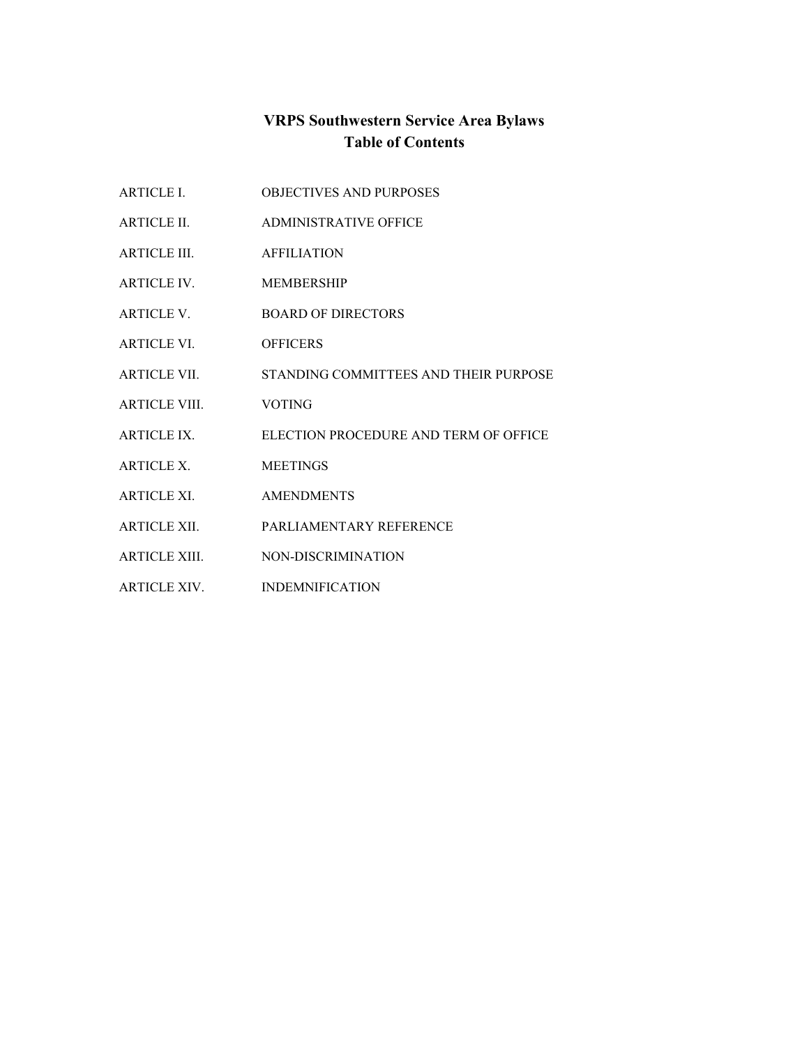# **VRPS Southwestern Service Area Bylaws Table of Contents**

ARTICLE II. ADMINISTRATIVE OFFICE ARTICLE III. AFFILIATION ARTICLE IV. MEMBERSHIP ARTICLE V. BOARD OF DIRECTORS ARTICLE VI. OFFICERS ARTICLE VII. STANDING COMMITTEES AND THEIR PURPOSE ARTICLE VIII. VOTING ARTICLE IX. ELECTION PROCEDURE AND TERM OF OFFICE ARTICLE X. MEETINGS ARTICLE XI. AMENDMENTS ARTICLE XII. PARLIAMENTARY REFERENCE ARTICLE XIII. NON-DISCRIMINATION

ARTICLE I. OBJECTIVES AND PURPOSES

ARTICLE XIV. INDEMNIFICATION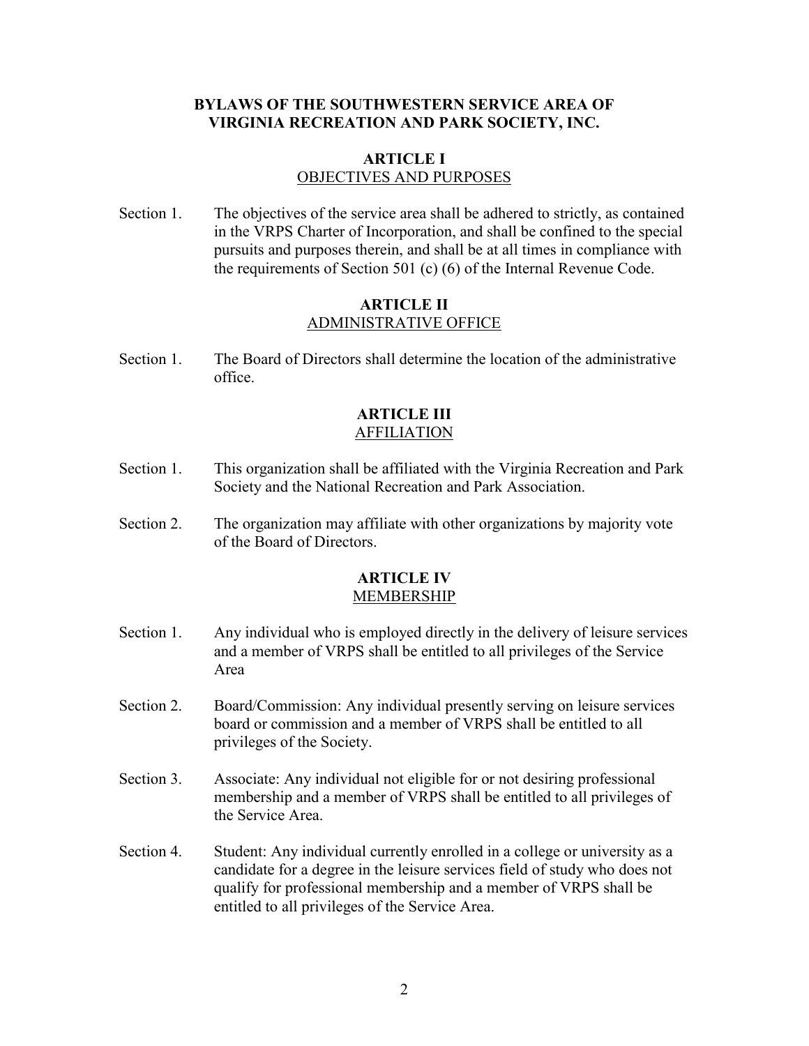## **BYLAWS OF THE SOUTHWESTERN SERVICE AREA OF VIRGINIA RECREATION AND PARK SOCIETY, INC.**

#### **ARTICLE I** OBJECTIVES AND PURPOSES

Section 1. The objectives of the service area shall be adhered to strictly, as contained in the VRPS Charter of Incorporation, and shall be confined to the special pursuits and purposes therein, and shall be at all times in compliance with the requirements of Section 501 (c) (6) of the Internal Revenue Code.

### **ARTICLE II** ADMINISTRATIVE OFFICE

Section 1. The Board of Directors shall determine the location of the administrative office.

### **ARTICLE III** AFFILIATION

- Section 1. This organization shall be affiliated with the Virginia Recreation and Park Society and the National Recreation and Park Association.
- Section 2. The organization may affiliate with other organizations by majority vote of the Board of Directors.

### **ARTICLE IV** MEMBERSHIP

- Section 1. Any individual who is employed directly in the delivery of leisure services and a member of VRPS shall be entitled to all privileges of the Service Area
- Section 2. Board/Commission: Any individual presently serving on leisure services board or commission and a member of VRPS shall be entitled to all privileges of the Society.
- Section 3. Associate: Any individual not eligible for or not desiring professional membership and a member of VRPS shall be entitled to all privileges of the Service Area.
- Section 4. Student: Any individual currently enrolled in a college or university as a candidate for a degree in the leisure services field of study who does not qualify for professional membership and a member of VRPS shall be entitled to all privileges of the Service Area.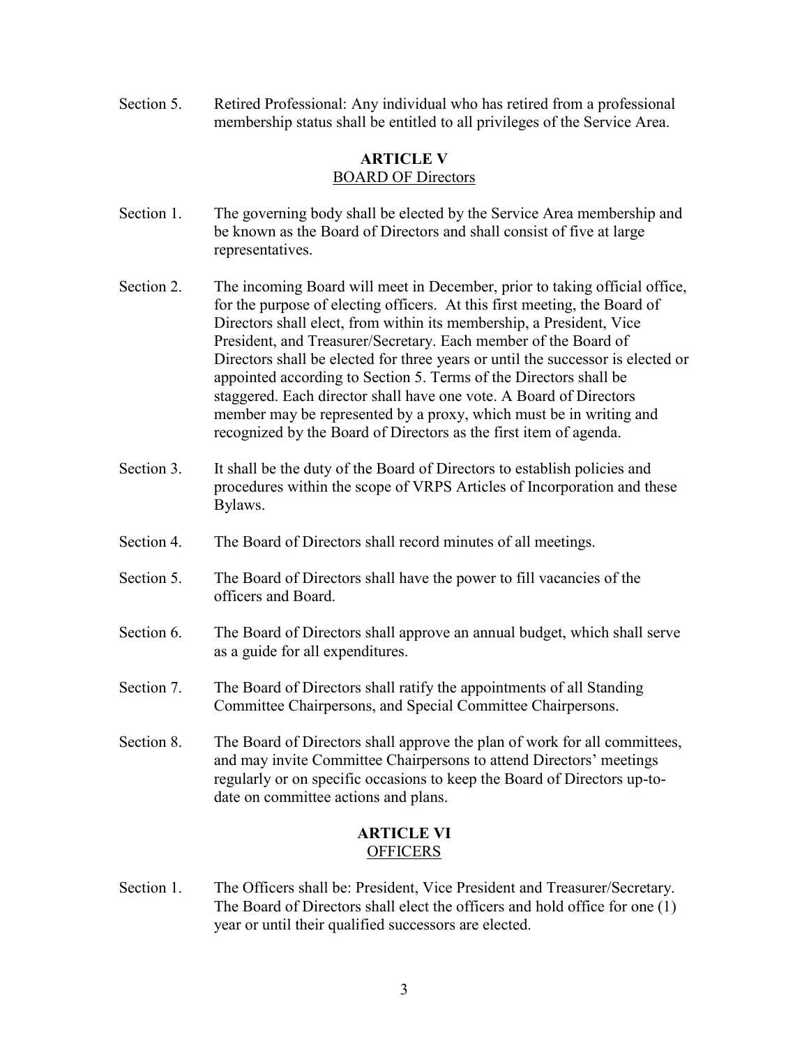Section 5. Retired Professional: Any individual who has retired from a professional membership status shall be entitled to all privileges of the Service Area.

## **ARTICLE V** BOARD OF Directors

- Section 1. The governing body shall be elected by the Service Area membership and be known as the Board of Directors and shall consist of five at large representatives.
- Section 2. The incoming Board will meet in December, prior to taking official office, for the purpose of electing officers. At this first meeting, the Board of Directors shall elect, from within its membership, a President, Vice President, and Treasurer/Secretary. Each member of the Board of Directors shall be elected for three years or until the successor is elected or appointed according to Section 5. Terms of the Directors shall be staggered. Each director shall have one vote. A Board of Directors member may be represented by a proxy, which must be in writing and recognized by the Board of Directors as the first item of agenda.
- Section 3. It shall be the duty of the Board of Directors to establish policies and procedures within the scope of VRPS Articles of Incorporation and these Bylaws.
- Section 4. The Board of Directors shall record minutes of all meetings.
- Section 5. The Board of Directors shall have the power to fill vacancies of the officers and Board.
- Section 6. The Board of Directors shall approve an annual budget, which shall serve as a guide for all expenditures.
- Section 7. The Board of Directors shall ratify the appointments of all Standing Committee Chairpersons, and Special Committee Chairpersons.
- Section 8. The Board of Directors shall approve the plan of work for all committees, and may invite Committee Chairpersons to attend Directors' meetings regularly or on specific occasions to keep the Board of Directors up-todate on committee actions and plans.

## **ARTICLE VI OFFICERS**

Section 1. The Officers shall be: President, Vice President and Treasurer/Secretary. The Board of Directors shall elect the officers and hold office for one (1) year or until their qualified successors are elected.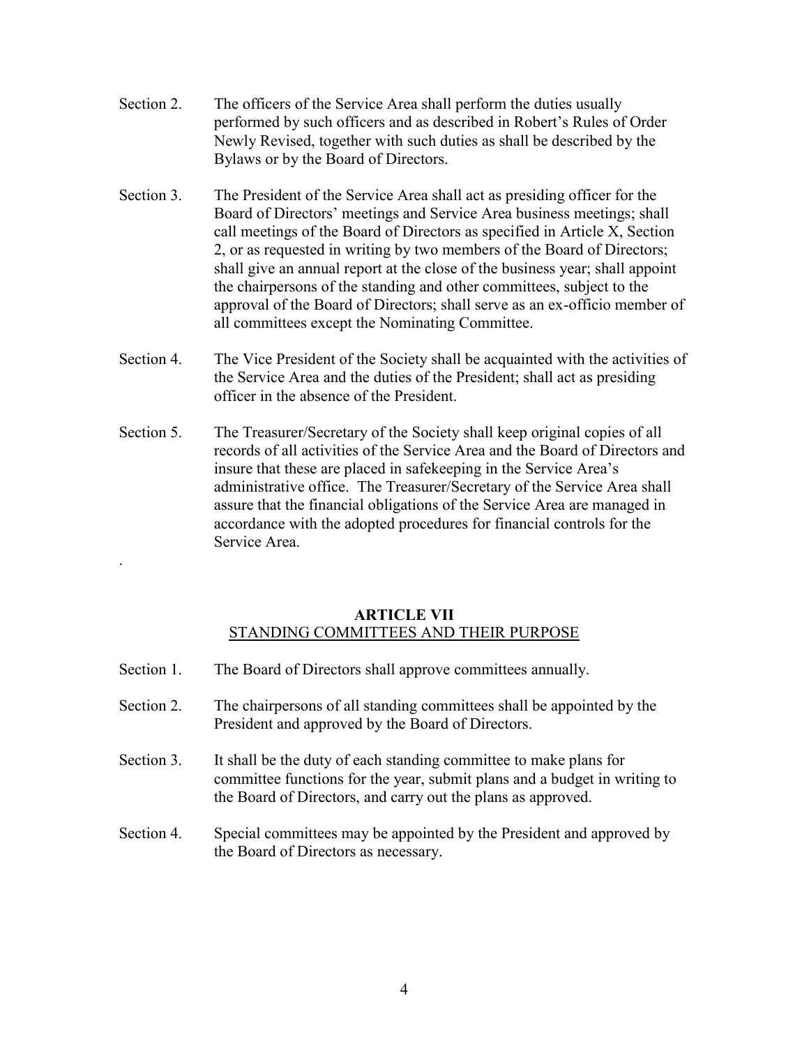- Section 2. The officers of the Service Area shall perform the duties usually performed by such officers and as described in Robert's Rules of Order Newly Revised, together with such duties as shall be described by the Bylaws or by the Board of Directors.
- Section 3. The President of the Service Area shall act as presiding officer for the Board of Directors' meetings and Service Area business meetings; shall call meetings of the Board of Directors as specified in Article X, Section 2, or as requested in writing by two members of the Board of Directors; shall give an annual report at the close of the business year; shall appoint the chairpersons of the standing and other committees, subject to the approval of the Board of Directors; shall serve as an ex-officio member of all committees except the Nominating Committee.
- Section 4. The Vice President of the Society shall be acquainted with the activities of the Service Area and the duties of the President; shall act as presiding officer in the absence of the President.
- Section 5. The Treasurer/Secretary of the Society shall keep original copies of all records of all activities of the Service Area and the Board of Directors and insure that these are placed in safekeeping in the Service Area's administrative office. The Treasurer/Secretary of the Service Area shall assure that the financial obligations of the Service Area are managed in accordance with the adopted procedures for financial controls for the Service Area.

## **ARTICLE VII** STANDING COMMITTEES AND THEIR PURPOSE

Section 1. The Board of Directors shall approve committees annually.

.

- Section 2. The chairpersons of all standing committees shall be appointed by the President and approved by the Board of Directors.
- Section 3. It shall be the duty of each standing committee to make plans for committee functions for the year, submit plans and a budget in writing to the Board of Directors, and carry out the plans as approved.
- Section 4. Special committees may be appointed by the President and approved by the Board of Directors as necessary.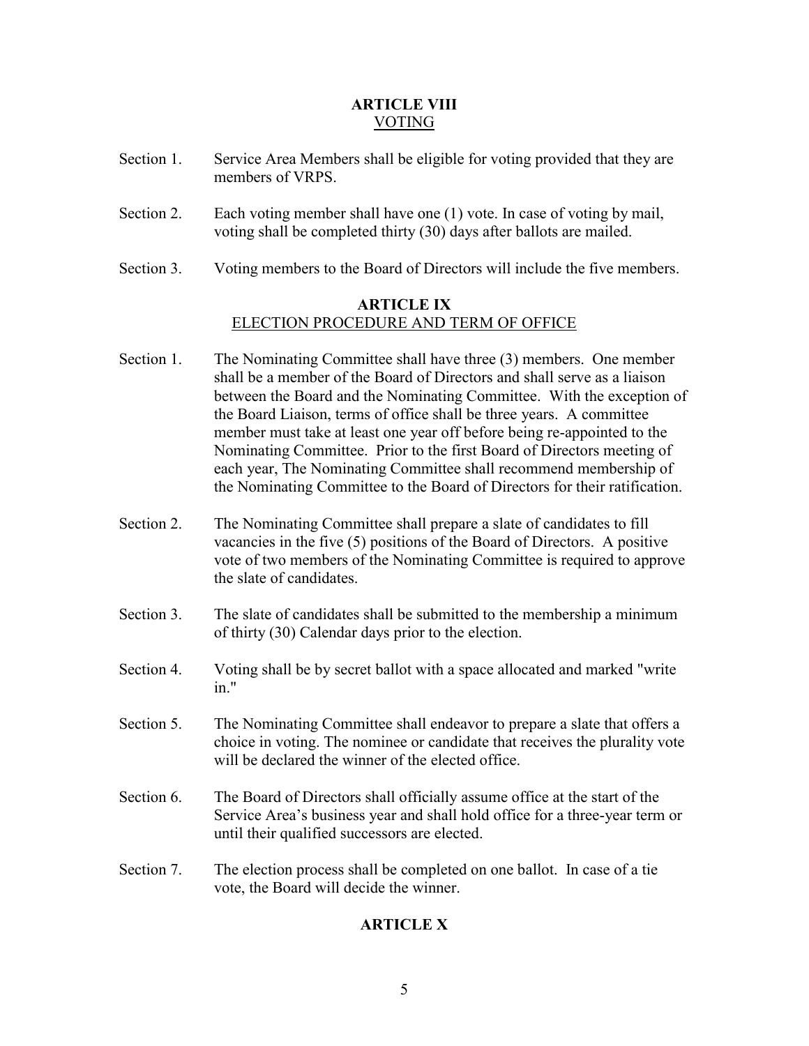## **ARTICLE VIII** VOTING

- Section 1. Service Area Members shall be eligible for voting provided that they are members of VRPS.
- Section 2. Each voting member shall have one (1) vote. In case of voting by mail, voting shall be completed thirty (30) days after ballots are mailed.
- Section 3. Voting members to the Board of Directors will include the five members.

## **ARTICLE IX** ELECTION PROCEDURE AND TERM OF OFFICE

- Section 1. The Nominating Committee shall have three (3) members. One member shall be a member of the Board of Directors and shall serve as a liaison between the Board and the Nominating Committee. With the exception of the Board Liaison, terms of office shall be three years. A committee member must take at least one year off before being re-appointed to the Nominating Committee. Prior to the first Board of Directors meeting of each year, The Nominating Committee shall recommend membership of the Nominating Committee to the Board of Directors for their ratification.
- Section 2. The Nominating Committee shall prepare a slate of candidates to fill vacancies in the five (5) positions of the Board of Directors. A positive vote of two members of the Nominating Committee is required to approve the slate of candidates.
- Section 3. The slate of candidates shall be submitted to the membership a minimum of thirty (30) Calendar days prior to the election.
- Section 4. Voting shall be by secret ballot with a space allocated and marked "write in."
- Section 5. The Nominating Committee shall endeavor to prepare a slate that offers a choice in voting. The nominee or candidate that receives the plurality vote will be declared the winner of the elected office.
- Section 6. The Board of Directors shall officially assume office at the start of the Service Area's business year and shall hold office for a three-year term or until their qualified successors are elected.
- Section 7. The election process shall be completed on one ballot. In case of a tie vote, the Board will decide the winner.

## **ARTICLE X**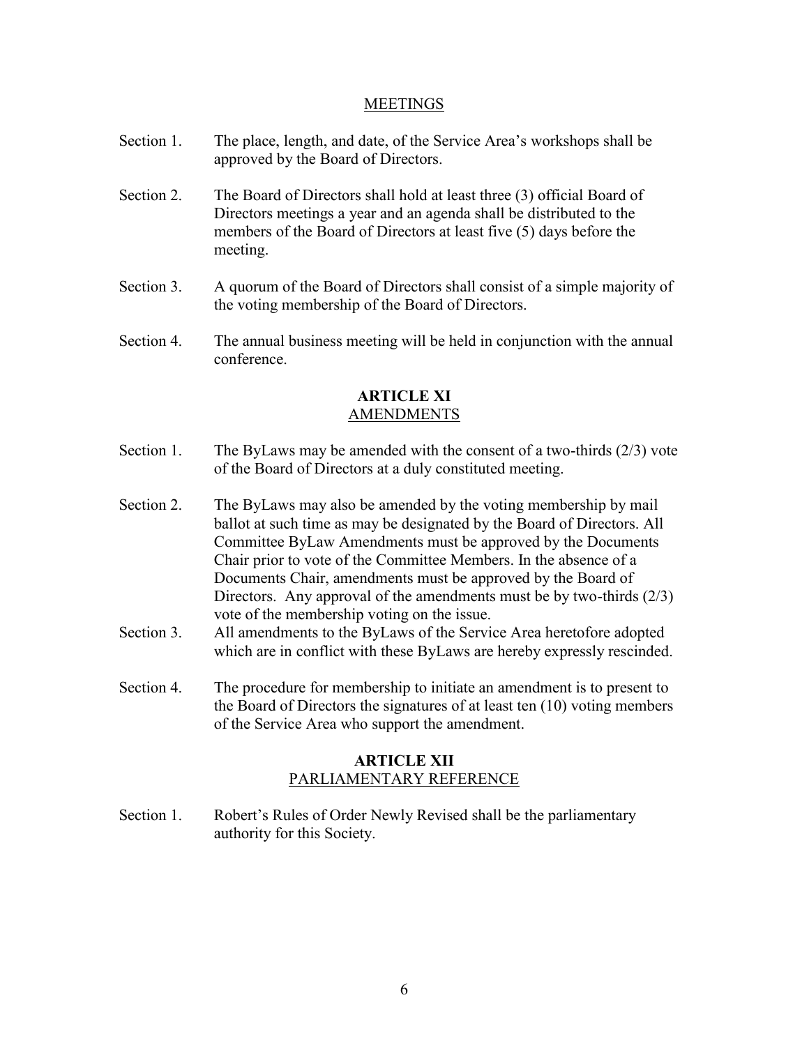#### **MEETINGS**

- Section 1. The place, length, and date, of the Service Area's workshops shall be approved by the Board of Directors.
- Section 2. The Board of Directors shall hold at least three (3) official Board of Directors meetings a year and an agenda shall be distributed to the members of the Board of Directors at least five (5) days before the meeting.
- Section 3. A quorum of the Board of Directors shall consist of a simple majority of the voting membership of the Board of Directors.
- Section 4. The annual business meeting will be held in conjunction with the annual conference.

#### **ARTICLE XI** AMENDMENTS

- Section 1. The ByLaws may be amended with the consent of a two-thirds (2/3) vote of the Board of Directors at a duly constituted meeting.
- Section 2. The ByLaws may also be amended by the voting membership by mail ballot at such time as may be designated by the Board of Directors. All Committee ByLaw Amendments must be approved by the Documents Chair prior to vote of the Committee Members. In the absence of a Documents Chair, amendments must be approved by the Board of Directors. Any approval of the amendments must be by two-thirds (2/3) vote of the membership voting on the issue.
- Section 3. All amendments to the ByLaws of the Service Area heretofore adopted which are in conflict with these ByLaws are hereby expressly rescinded.
- Section 4. The procedure for membership to initiate an amendment is to present to the Board of Directors the signatures of at least ten (10) voting members of the Service Area who support the amendment.

## **ARTICLE XII** PARLIAMENTARY REFERENCE

Section 1. Robert's Rules of Order Newly Revised shall be the parliamentary authority for this Society.